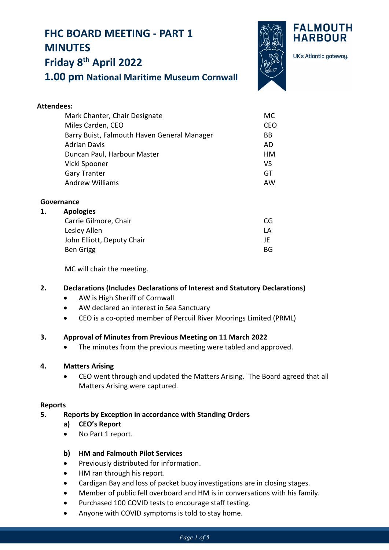# **FHC BOARD MEETING - PART 1 MINUTES**



UK's Atlantic gateway.

**FALMOUTH HARBOUR** 

# **Friday 8th April 2022**

**1.00 pm National Maritime Museum Cornwall**

| <b>Attendees:</b>                           |     |
|---------------------------------------------|-----|
| Mark Chanter, Chair Designate               | MC. |
| Miles Carden, CEO                           | CEO |
| Barry Buist, Falmouth Haven General Manager | BB  |
| <b>Adrian Davis</b>                         | AD  |
| Duncan Paul, Harbour Master                 | HМ  |
| Vicki Spooner                               | VS  |
| <b>Gary Tranter</b>                         | GT  |
| <b>Andrew Williams</b>                      | AW  |
|                                             |     |

# **Governance**

#### **1. Apologies**

| Carrie Gilmore, Chair      | CG. |
|----------------------------|-----|
| Lesley Allen               | IΑ  |
| John Elliott, Deputy Chair | ΙF  |
| Ben Grigg                  | BG. |
|                            |     |

MC will chair the meeting.

# **2. Declarations (Includes Declarations of Interest and Statutory Declarations)**

- AW is High Sheriff of Cornwall
- AW declared an interest in Sea Sanctuary
- CEO is a co-opted member of Percuil River Moorings Limited (PRML)

#### **3. Approval of Minutes from Previous Meeting on 11 March 2022**

• The minutes from the previous meeting were tabled and approved.

#### **4. Matters Arising**

• CEO went through and updated the Matters Arising. The Board agreed that all Matters Arising were captured.

#### **Reports**

# **5. Reports by Exception in accordance with Standing Orders**

- **a) CEO's Report**
- No Part 1 report.

# **b) HM and Falmouth Pilot Services**

- Previously distributed for information.
- HM ran through his report.
- Cardigan Bay and loss of packet buoy investigations are in closing stages.
- Member of public fell overboard and HM is in conversations with his family.
- Purchased 100 COVID tests to encourage staff testing.
- Anyone with COVID symptoms is told to stay home.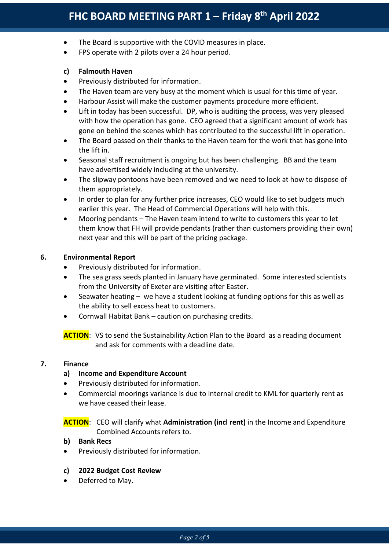- The Board is supportive with the COVID measures in place.
- FPS operate with 2 pilots over a 24 hour period.

## **c) Falmouth Haven**

- Previously distributed for information.
- The Haven team are very busy at the moment which is usual for this time of year.
- Harbour Assist will make the customer payments procedure more efficient.
- Lift in today has been successful. DP, who is auditing the process, was very pleased with how the operation has gone. CEO agreed that a significant amount of work has gone on behind the scenes which has contributed to the successful lift in operation.
- The Board passed on their thanks to the Haven team for the work that has gone into the lift in.
- Seasonal staff recruitment is ongoing but has been challenging. BB and the team have advertised widely including at the university.
- The slipway pontoons have been removed and we need to look at how to dispose of them appropriately.
- In order to plan for any further price increases, CEO would like to set budgets much earlier this year. The Head of Commercial Operations will help with this.
- Mooring pendants The Haven team intend to write to customers this year to let them know that FH will provide pendants (rather than customers providing their own) next year and this will be part of the pricing package.

# **6. Environmental Report**

- Previously distributed for information.
- The sea grass seeds planted in January have germinated. Some interested scientists from the University of Exeter are visiting after Easter.
- Seawater heating we have a student looking at funding options for this as well as the ability to sell excess heat to customers.
- Cornwall Habitat Bank caution on purchasing credits.

**ACTION:** VS to send the Sustainability Action Plan to the Board as a reading document and ask for comments with a deadline date.

#### **7. Finance**

#### **a) Income and Expenditure Account**

- Previously distributed for information.
- Commercial moorings variance is due to internal credit to KML for quarterly rent as we have ceased their lease.

**ACTION**: CEO will clarify what **Administration (incl rent)** in the Income and Expenditure Combined Accounts refers to.

#### **b) Bank Recs**

Previously distributed for information.

#### **c) 2022 Budget Cost Review**

Deferred to May.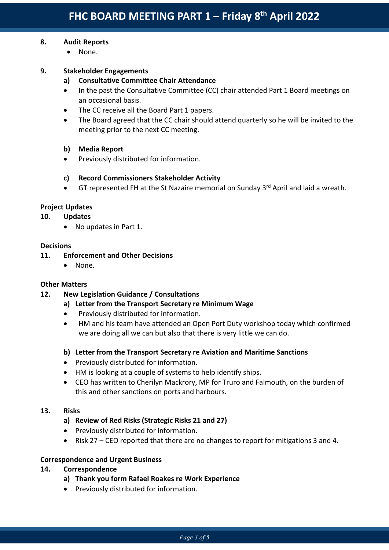# **8. Audit Reports**

• None.

# **9. Stakeholder Engagements**

- **a) Consultative Committee Chair Attendance**
- In the past the Consultative Committee (CC) chair attended Part 1 Board meetings on an occasional basis.
- The CC receive all the Board Part 1 papers.
- The Board agreed that the CC chair should attend quarterly so he will be invited to the meeting prior to the next CC meeting.

# **b) Media Report**

• Previously distributed for information.

# **c) Record Commissioners Stakeholder Activity**

• GT represented FH at the St Nazaire memorial on Sunday  $3<sup>rd</sup>$  April and laid a wreath.

# **Project Updates**

#### **10. Updates**

• No updates in Part 1.

#### **Decisions**

# **11. Enforcement and Other Decisions**

• None.

#### **Other Matters**

# **12. New Legislation Guidance / Consultations**

- **a) Letter from the Transport Secretary re Minimum Wage**
- Previously distributed for information.
- HM and his team have attended an Open Port Duty workshop today which confirmed we are doing all we can but also that there is very little we can do.

# **b) Letter from the Transport Secretary re Aviation and Maritime Sanctions**

- Previously distributed for information.
- HM is looking at a couple of systems to help identify ships.
- CEO has written to Cherilyn Mackrory, MP for Truro and Falmouth, on the burden of this and other sanctions on ports and harbours.

#### **13. Risks**

- **a) Review of Red Risks (Strategic Risks 21 and 27)**
- Previously distributed for information.
- Risk 27 CEO reported that there are no changes to report for mitigations 3 and 4.

# **Correspondence and Urgent Business**

# **14. Correspondence**

- **a) Thank you form Rafael Roakes re Work Experience**
- Previously distributed for information.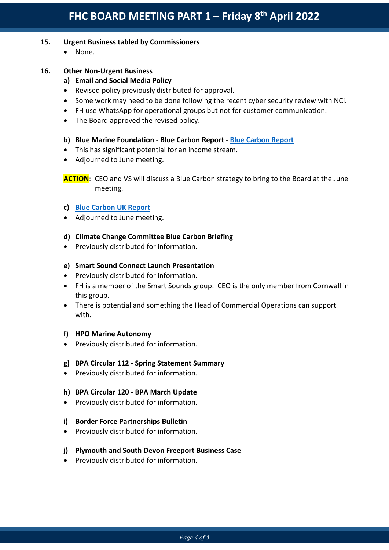# **15. Urgent Business tabled by Commissioners**

• None.

# **16. Other Non-Urgent Business**

# **a) Email and Social Media Policy**

- Revised policy previously distributed for approval.
- Some work may need to be done following the recent cyber security review with NCi.
- FH use WhatsApp for operational groups but not for customer communication.
- The Board approved the revised policy.

#### **b) Blue Marine Foundation - Blue Carbon Report - [Blue Carbon Report](https://www.bluemarinefoundation.com/2022/03/09/uk-blue-carbon-report/)**

- This has significant potential for an income stream.
- Adjourned to June meeting.

**ACTION**: CEO and VS will discuss a Blue Carbon strategy to bring to the Board at the June meeting.

#### **c) [Blue Carbon UK Report](https://www.bluemarinefoundation.com/wp-content/uploads/2022/03/Blue-Carbon-UK-Report.pdf)**

• Adjourned to June meeting.

#### **d) Climate Change Committee Blue Carbon Briefing**

• Previously distributed for information.

# **e) Smart Sound Connect Launch Presentation**

- Previously distributed for information.
- FH is a member of the Smart Sounds group. CEO is the only member from Cornwall in this group.
- There is potential and something the Head of Commercial Operations can support with.

#### **f) HPO Marine Autonomy**

• Previously distributed for information.

#### **g) BPA Circular 112 - Spring Statement Summary**

• Previously distributed for information.

#### **h) BPA Circular 120 - BPA March Update**

• Previously distributed for information.

#### **i) Border Force Partnerships Bulletin**

• Previously distributed for information.

#### **j) Plymouth and South Devon Freeport Business Case**

• Previously distributed for information.